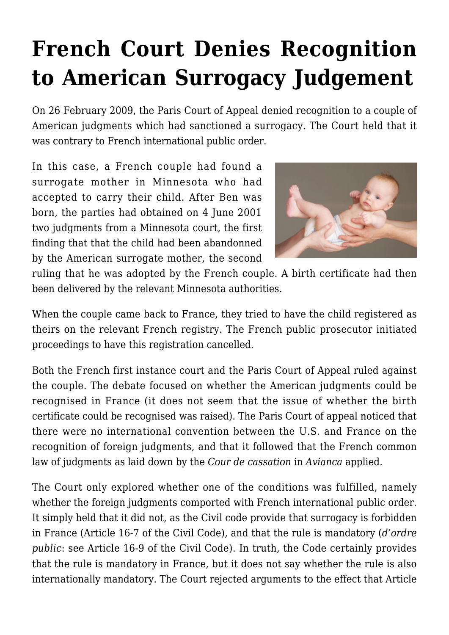## **[French Court Denies Recognition](https://conflictoflaws.net/2009/french-court-denies-recognition-to-american-surrogacy-judgement/) [to American Surrogacy Judgement](https://conflictoflaws.net/2009/french-court-denies-recognition-to-american-surrogacy-judgement/)**

On 26 February 2009, the Paris Court of Appeal denied recognition to a couple of American judgments which had sanctioned a surrogacy. The Court held that it was contrary to French international public order.

In this case, a French couple had found a surrogate mother in Minnesota who had accepted to carry their child. After Ben was born, the parties had obtained on 4 June 2001 two judgments from a Minnesota court, the first finding that that the child had been abandonned by the American surrogate mother, the second



ruling that he was adopted by the French couple. A birth certificate had then been delivered by the relevant Minnesota authorities.

When the couple came back to France, they tried to have the child registered as theirs on the relevant French registry. The French public prosecutor initiated proceedings to have this registration cancelled.

Both the French first instance court and the Paris Court of Appeal ruled against the couple. The debate focused on whether the American judgments could be recognised in France (it does not seem that the issue of whether the birth certificate could be recognised was raised). The Paris Court of appeal noticed that there were no international convention between the U.S. and France on the recognition of foreign judgments, and that it followed that the French common law of judgments as laid down by the *Cour de cassation* in *[Avianca](https://conflictoflaws.de/2007/new-conditions-for-recognition-of-judgements-in-france/)* applied.

The Court only explored whether one of the conditions was fulfilled, namely whether the foreign judgments comported with French international public order. It simply held that it did not, as the Civil code provide that surrogacy is forbidden in France (Article 16-7 of the Civil Code), and that the rule is mandatory (*d'ordre public*: see Article 16-9 of the Civil Code). In truth, the Code certainly provides that the rule is mandatory in France, but it does not say whether the rule is also internationally mandatory. The Court rejected arguments to the effect that Article